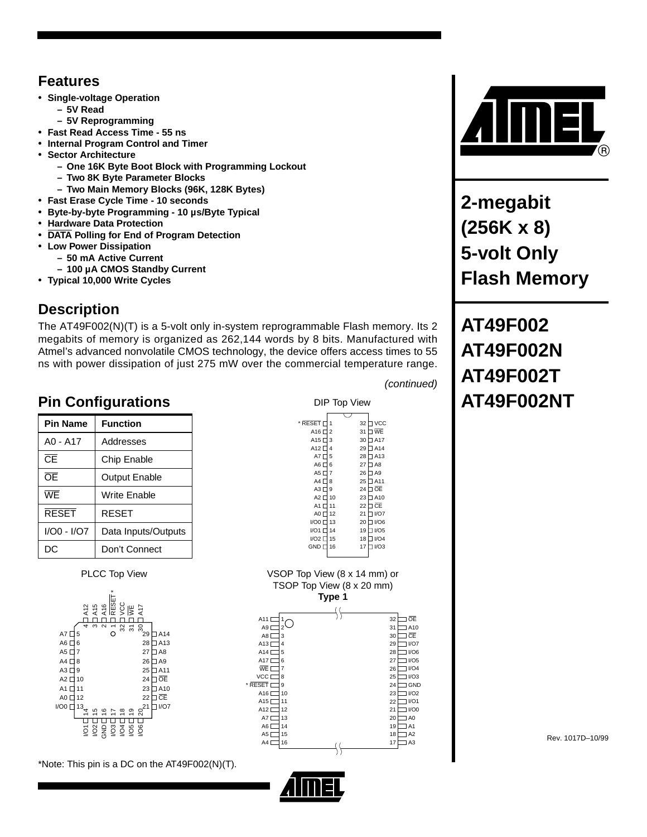#### **Features**

- **Single-voltage Operation**
	- **5V Read**
- **5V Reprogramming**
- **Fast Read Access Time 55 ns**
- **Internal Program Control and Timer**
- **Sector Architecture**
	- **– One 16K Byte Boot Block with Programming Lockout**
	- **– Two 8K Byte Parameter Blocks**
	- **– Two Main Memory Blocks (96K, 128K Bytes)**
- **Fast Erase Cycle Time 10 seconds**
- **Byte-by-byte Programming 10 µs/Byte Typical**
- **Hardware Data Protection**
- **DATA Polling for End of Program Detection**
- **Low Power Dissipation**
	- **– 50 mA Active Current**
	- **– 100 µA CMOS Standby Current**
- **Typical 10,000 Write Cycles**

#### **Description**

The AT49F002(N)(T) is a 5-volt only in-system reprogrammable Flash memory. Its 2 megabits of memory is organized as 262,144 words by 8 bits. Manufactured with Atmel's advanced nonvolatile CMOS technology, the device offers access times to 55 ns with power dissipation of just 275 mW over the commercial temperature range.

## **Pin Configurations Pin Configurations AT49F002NT**

| <b>Pin Name</b>        | <b>Function</b>      |
|------------------------|----------------------|
| $AO - A17$             | Addresses            |
| $\overline{\text{CF}}$ | Chip Enable          |
| ŌĒ                     | <b>Output Enable</b> |
| WF                     | Write Enable         |
| <b>RESET</b>           | <b>RESET</b>         |
| I/O0 - I/O7            | Data Inputs/Outputs  |
| DC                     | Don't Connect        |

PLCC Top View



\*Note: This pin is a DC on the AT49F002(N)(T).

| DIP Top View                      |    |    |            |  |  |  |  |  |
|-----------------------------------|----|----|------------|--|--|--|--|--|
|                                   |    |    |            |  |  |  |  |  |
| * RESET I                         |    | 32 | <b>VCC</b> |  |  |  |  |  |
| A16                               | 2  | 31 | ⊓ WE       |  |  |  |  |  |
| A <sub>15</sub> $\sqsubset$       | 3  | 30 | 1A17       |  |  |  |  |  |
| $A12\square$                      | 4  | 29 | ∃A14       |  |  |  |  |  |
| AT                                | 5  | 28 | IA13       |  |  |  |  |  |
| $AG$ $\Box$                       | 6  | 27 | 3 A C      |  |  |  |  |  |
| A5 $\Box$                         | 7  | 26 | 1 A9       |  |  |  |  |  |
| $A4$ <sup><math>\Box</math></sup> | 8  | 25 | 1A11       |  |  |  |  |  |
| $A3$ <sup><math>\Box</math></sup> | 9  | 24 | <b>OE</b>  |  |  |  |  |  |
| $A2\Box$                          | 10 | 23 | IA10       |  |  |  |  |  |
| A1 $\Gamma$                       | 11 | 22 | 1 CE       |  |  |  |  |  |
| A0 L                              | 12 | 21 | I/O7       |  |  |  |  |  |
| 1/OO                              | 13 | 20 | I/O6       |  |  |  |  |  |
| <b>I/O1</b> D                     | 14 | 19 | I/O5       |  |  |  |  |  |
| 1/02 L                            | 15 | 18 | I/O4       |  |  |  |  |  |
| <b>GND</b> <sub>L</sub>           | 16 | 17 | I/O3       |  |  |  |  |  |
|                                   |    |    |            |  |  |  |  |  |
|                                   |    |    |            |  |  |  |  |  |

(continued)





**2-megabit (256K x 8) 5-volt Only Flash Memory**

**AT49F002 AT49F002N AT49F002T**

Rev. 1017D–10/99

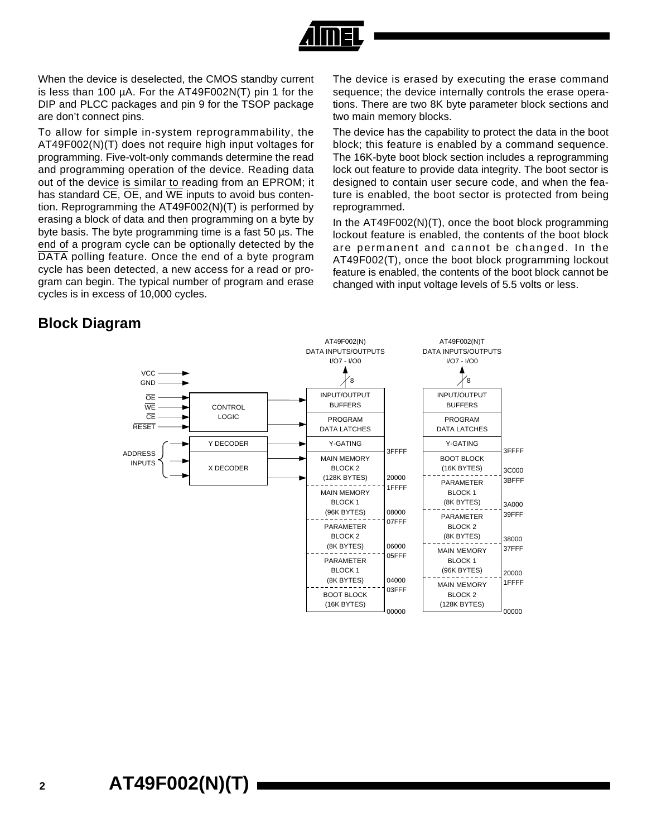

When the device is deselected, the CMOS standby current is less than 100 µA. For the AT49F002N(T) pin 1 for the DIP and PLCC packages and pin 9 for the TSOP package are don't connect pins.

To allow for simple in-system reprogrammability, the AT49F002(N)(T) does not require high input voltages for programming. Five-volt-only commands determine the read and programming operation of the device. Reading data out of the device is similar to reading from an EPROM; it has standard  $\overline{\text{CE}}$ ,  $\overline{\text{OE}}$ , and  $\overline{\text{WE}}$  inputs to avoid bus contention. Reprogramming the AT49F002(N)(T) is performed by erasing a block of data and then programming on a byte by byte basis. The byte programming time is a fast 50 µs. The end of a program cycle can be optionally detected by the DATA polling feature. Once the end of a byte program cycle has been detected, a new access for a read or program can begin. The typical number of program and erase cycles is in excess of 10,000 cycles.

The device is erased by executing the erase command sequence; the device internally controls the erase operations. There are two 8K byte parameter block sections and two main memory blocks.

The device has the capability to protect the data in the boot block; this feature is enabled by a command sequence. The 16K-byte boot block section includes a reprogramming lock out feature to provide data integrity. The boot sector is designed to contain user secure code, and when the feature is enabled, the boot sector is protected from being reprogrammed.

In the AT49F002(N)(T), once the boot block programming lockout feature is enabled, the contents of the boot block are permanent and cannot be changed. In the AT49F002(T), once the boot block programming lockout feature is enabled, the contents of the boot block cannot be changed with input voltage levels of 5.5 volts or less.

#### **Block Diagram**

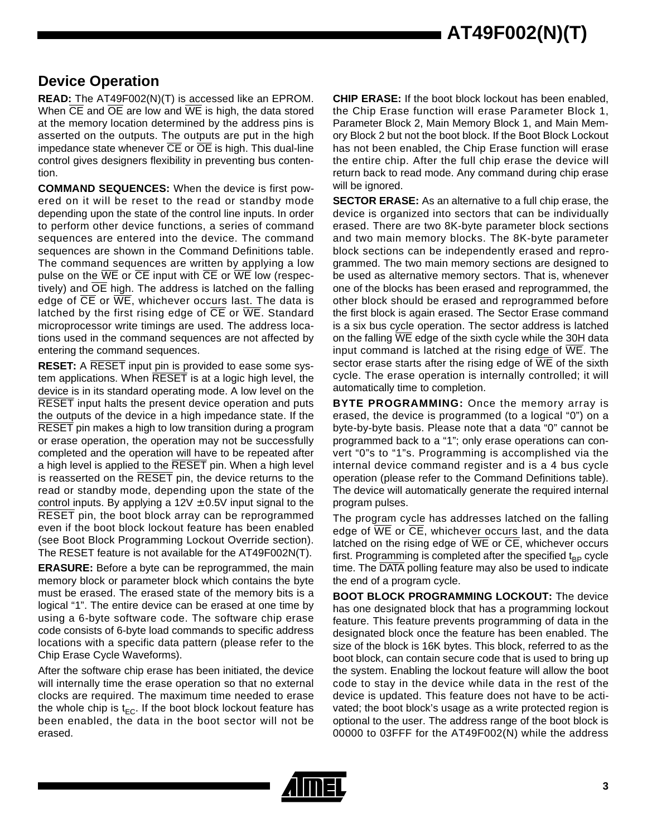**AT49F002(N)(T)**

#### **Device Operation**

**READ:** The AT49F002(N)(T) is accessed like an EPROM. When  $\overline{CE}$  and  $\overline{OE}$  are low and  $\overline{WE}$  is high, the data stored at the memory location determined by the address pins is asserted on the outputs. The outputs are put in the high impedance state whenever  $\overline{\text{CE}}$  or  $\overline{\text{OE}}$  is high. This dual-line control gives designers flexibility in preventing bus contention.

**COMMAND SEQUENCES:** When the device is first powered on it will be reset to the read or standby mode depending upon the state of the control line inputs. In order to perform other device functions, a series of command sequences are entered into the device. The command sequences are shown in the Command Definitions table. The command sequences are written by applying a low pulse on the  $\overline{WE}$  or  $\overline{CE}$  input with  $\overline{CE}$  or  $\overline{WE}$  low (respectively) and  $\overline{OE}$  high. The address is latched on the falling edge of  $\overline{CE}$  or  $\overline{WE}$ , whichever occurs last. The data is latched by the first rising edge of  $\overline{CE}$  or  $\overline{WE}$ . Standard microprocessor write timings are used. The address locations used in the command sequences are not affected by entering the command sequences.

**RESET:** A RESET input pin is provided to ease some system applications. When RESET is at a logic high level, the device is in its standard operating mode. A low level on the RESET input halts the present device operation and puts the outputs of the device in a high impedance state. If the RESET pin makes a high to low transition during a program or erase operation, the operation may not be successfully completed and the operation will have to be repeated after a high level is applied to the RESET pin. When a high level is reasserted on the RESET pin, the device returns to the read or standby mode, depending upon the state of the control inputs. By applying a  $12V \pm 0.5V$  input signal to the RESET pin, the boot block array can be reprogrammed even if the boot block lockout feature has been enabled (see Boot Block Programming Lockout Override section). The RESET feature is not available for the AT49F002N(T).

**ERASURE:** Before a byte can be reprogrammed, the main memory block or parameter block which contains the byte must be erased. The erased state of the memory bits is a logical "1". The entire device can be erased at one time by using a 6-byte software code. The software chip erase code consists of 6-byte load commands to specific address locations with a specific data pattern (please refer to the Chip Erase Cycle Waveforms).

After the software chip erase has been initiated, the device will internally time the erase operation so that no external clocks are required. The maximum time needed to erase the whole chip is  $t_{FC}$ . If the boot block lockout feature has been enabled, the data in the boot sector will not be erased.

**CHIP ERASE:** If the boot block lockout has been enabled, the Chip Erase function will erase Parameter Block 1, Parameter Block 2, Main Memory Block 1, and Main Memory Block 2 but not the boot block. If the Boot Block Lockout has not been enabled, the Chip Erase function will erase the entire chip. After the full chip erase the device will return back to read mode. Any command during chip erase will be ignored.

**SECTOR ERASE:** As an alternative to a full chip erase, the device is organized into sectors that can be individually erased. There are two 8K-byte parameter block sections and two main memory blocks. The 8K-byte parameter block sections can be independently erased and reprogrammed. The two main memory sections are designed to be used as alternative memory sectors. That is, whenever one of the blocks has been erased and reprogrammed, the other block should be erased and reprogrammed before the first block is again erased. The Sector Erase command is a six bus cycle operation. The sector address is latched on the falling WE edge of the sixth cycle while the 30H data input command is latched at the rising edge of  $\overline{WE}$ . The sector erase starts after the rising edge of  $\overline{WE}$  of the sixth cycle. The erase operation is internally controlled; it will automatically time to completion.

**BYTE PROGRAMMING:** Once the memory array is erased, the device is programmed (to a logical "0") on a byte-by-byte basis. Please note that a data "0" cannot be programmed back to a "1"; only erase operations can convert "0"s to "1"s. Programming is accomplished via the internal device command register and is a 4 bus cycle operation (please refer to the Command Definitions table). The device will automatically generate the required internal program pulses.

The program cycle has addresses latched on the falling edge of WE or CE, whichever occurs last, and the data latched on the rising edge of  $\overline{WE}$  or  $\overline{CE}$ , whichever occurs first. Programming is completed after the specified  $t_{BP}$  cycle time. The DATA polling feature may also be used to indicate the end of a program cycle.

**BOOT BLOCK PROGRAMMING LOCKOUT:** The device has one designated block that has a programming lockout feature. This feature prevents programming of data in the designated block once the feature has been enabled. The size of the block is 16K bytes. This block, referred to as the boot block, can contain secure code that is used to bring up the system. Enabling the lockout feature will allow the boot code to stay in the device while data in the rest of the device is updated. This feature does not have to be activated; the boot block's usage as a write protected region is optional to the user. The address range of the boot block is 00000 to 03FFF for the AT49F002(N) while the address

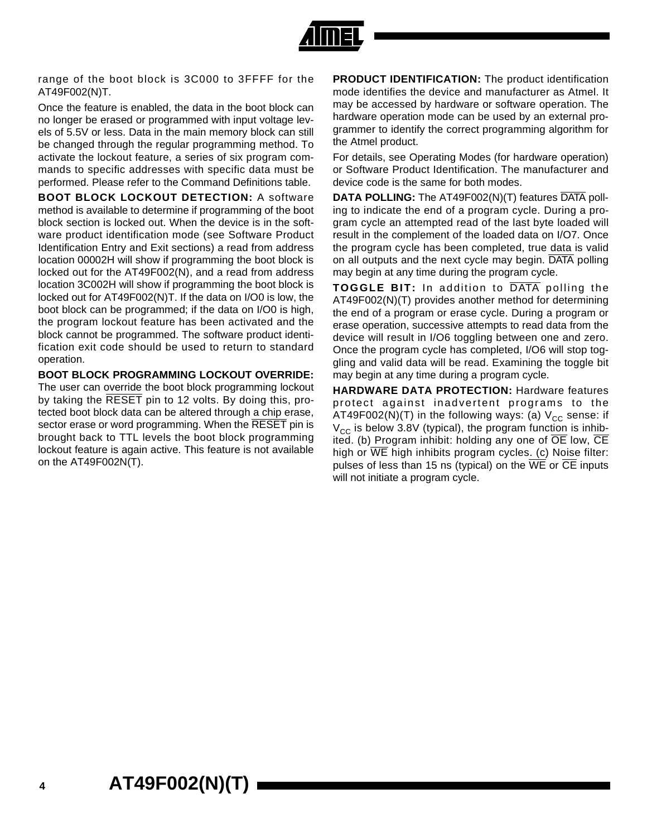

range of the boot block is 3C000 to 3FFFF for the AT49F002(N)T.

Once the feature is enabled, the data in the boot block can no longer be erased or programmed with input voltage levels of 5.5V or less. Data in the main memory block can still be changed through the regular programming method. To activate the lockout feature, a series of six program commands to specific addresses with specific data must be performed. Please refer to the Command Definitions table.

**BOOT BLOCK LOCKOUT DETECTION:** A software method is available to determine if programming of the boot block section is locked out. When the device is in the software product identification mode (see Software Product Identification Entry and Exit sections) a read from address location 00002H will show if programming the boot block is locked out for the AT49F002(N), and a read from address location 3C002H will show if programming the boot block is locked out for AT49F002(N)T. If the data on I/O0 is low, the boot block can be programmed; if the data on I/O0 is high, the program lockout feature has been activated and the block cannot be programmed. The software product identification exit code should be used to return to standard operation.

**BOOT BLOCK PROGRAMMING LOCKOUT OVERRIDE:** The user can override the boot block programming lockout by taking the RESET pin to 12 volts. By doing this, protected boot block data can be altered through a chip erase, sector erase or word programming. When the RESET pin is brought back to TTL levels the boot block programming lockout feature is again active. This feature is not available on the AT49F002N(T).

**PRODUCT IDENTIFICATION:** The product identification mode identifies the device and manufacturer as Atmel. It may be accessed by hardware or software operation. The hardware operation mode can be used by an external programmer to identify the correct programming algorithm for the Atmel product.

For details, see Operating Modes (for hardware operation) or Software Product Identification. The manufacturer and device code is the same for both modes.

**DATA POLLING:** The AT49F002(N)(T) features DATA polling to indicate the end of a program cycle. During a program cycle an attempted read of the last byte loaded will result in the complement of the loaded data on I/O7. Once the program cycle has been completed, true data is valid on all outputs and the next cycle may begin. DATA polling may begin at any time during the program cycle.

**TOGGLE BIT:** In addition to DATA polling the AT49F002(N)(T) provides another method for determining the end of a program or erase cycle. During a program or erase operation, successive attempts to read data from the device will result in I/O6 toggling between one and zero. Once the program cycle has completed, I/O6 will stop toggling and valid data will be read. Examining the toggle bit may begin at any time during a program cycle.

**HARDWARE DATA PROTECTION:** Hardware features protect against inadvertent programs to the AT49F002(N)(T) in the following ways: (a)  $V_{CC}$  sense: if  $V_{CC}$  is below 3.8V (typical), the program function is inhibited. (b) Program inhibit: holding any one of  $\overline{OE}$  low,  $\overline{CE}$ high or  $\overline{WE}$  high inhibits program cycles. (c) Noise filter: pulses of less than 15 ns (typical) on the  $\overline{WE}$  or  $\overline{CE}$  inputs will not initiate a program cycle.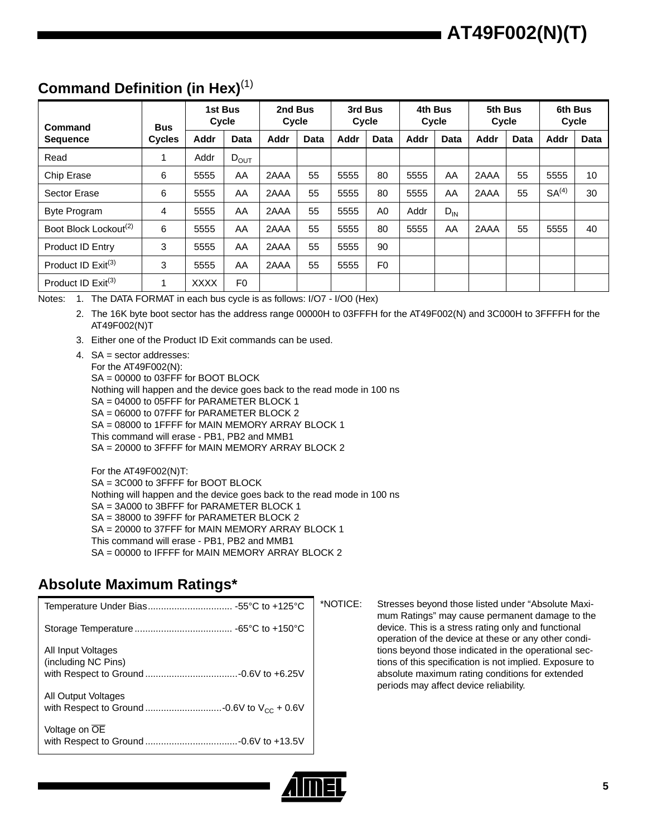# **AT49F002(N)(T)**

#### **Command Definition (in Hex)**(1)

| Command                           | <b>Bus</b>    |             | 1st Bus<br>Cycle | 2nd Bus<br>Cycle |      |             | 3rd Bus<br>Cycle |      | 4th Bus<br>Cycle | 5th Bus<br>Cycle |             |                   | 6th Bus<br>Cycle |
|-----------------------------------|---------------|-------------|------------------|------------------|------|-------------|------------------|------|------------------|------------------|-------------|-------------------|------------------|
| <b>Sequence</b>                   | <b>Cycles</b> | Addr        | Data             | Addr             | Data | <b>Addr</b> | <b>Data</b>      | Addr | <b>Data</b>      | Addr             | <b>Data</b> | <b>Addr</b>       | <b>Data</b>      |
| Read                              | 1             | Addr        | $D_{OUT}$        |                  |      |             |                  |      |                  |                  |             |                   |                  |
| Chip Erase                        | 6             | 5555        | AA               | 2AAA             | 55   | 5555        | 80               | 5555 | AA               | 2AAA             | 55          | 5555              | 10               |
| Sector Erase                      | 6             | 5555        | AA               | 2AAA             | 55   | 5555        | 80               | 5555 | AA               | 2AAA             | 55          | SA <sup>(4)</sup> | 30               |
| <b>Byte Program</b>               | 4             | 5555        | AA               | 2AAA             | 55   | 5555        | A0               | Addr | $D_{IN}$         |                  |             |                   |                  |
| Boot Block Lockout <sup>(2)</sup> | 6             | 5555        | AA               | 2AAA             | 55   | 5555        | 80               | 5555 | AA               | 2AAA             | 55          | 5555              | 40               |
| <b>Product ID Entry</b>           | 3             | 5555        | AA               | 2AAA             | 55   | 5555        | 90               |      |                  |                  |             |                   |                  |
| Product ID $Exit^{(3)}$           | 3             | 5555        | AA               | 2AAA             | 55   | 5555        | F <sub>0</sub>   |      |                  |                  |             |                   |                  |
| Product ID $Exit^{(3)}$           | 1             | <b>XXXX</b> | F <sub>0</sub>   |                  |      |             |                  |      |                  |                  |             |                   |                  |

Notes: 1. The DATA FORMAT in each bus cycle is as follows: I/O7 - I/O0 (Hex)

2. The 16K byte boot sector has the address range 00000H to 03FFFH for the AT49F002(N) and 3C000H to 3FFFFH for the AT49F002(N)T

3. Either one of the Product ID Exit commands can be used.

4. SA = sector addresses: For the AT49F002(N): SA = 00000 to 03FFF for BOOT BLOCK Nothing will happen and the device goes back to the read mode in 100 ns SA = 04000 to 05FFF for PARAMETER BLOCK 1 SA = 06000 to 07FFF for PARAMETER BLOCK 2 SA = 08000 to 1FFFF for MAIN MEMORY ARRAY BLOCK 1 This command will erase - PB1, PB2 and MMB1 SA = 20000 to 3FFFF for MAIN MEMORY ARRAY BLOCK 2

For the AT49F002(N)T: SA = 3C000 to 3FFFF for BOOT BLOCK Nothing will happen and the device goes back to the read mode in 100 ns SA = 3A000 to 3BFFF for PARAMETER BLOCK 1 SA = 38000 to 39FFF for PARAMETER BLOCK 2 SA = 20000 to 37FFF for MAIN MEMORY ARRAY BLOCK 1 This command will erase - PB1, PB2 and MMB1 SA = 00000 to IFFFF for MAIN MEMORY ARRAY BLOCK 2

#### **Absolute Maximum Ratings\***

|                                           | *NOTIC |
|-------------------------------------------|--------|
|                                           |        |
| All Input Voltages<br>(including NC Pins) |        |
| <b>All Output Voltages</b>                |        |
| Voltage on OE                             |        |

E: Stresses beyond those listed under "Absolute Maximum Ratings" may cause permanent damage to the device. This is a stress rating only and functional operation of the device at these or any other conditions beyond those indicated in the operational sections of this specification is not implied. Exposure to absolute maximum rating conditions for extended periods may affect device reliability.

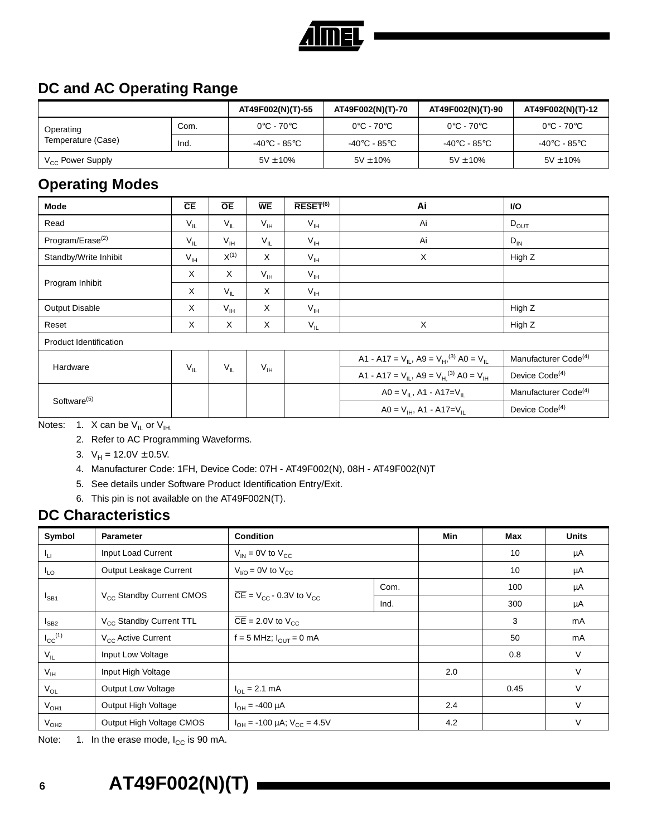

#### **DC and AC Operating Range**

|                       |      | AT49F002(N)(T)-55               | AT49F002(N)(T)-70               | AT49F002(N)(T)-90               | AT49F002(N)(T)-12               |
|-----------------------|------|---------------------------------|---------------------------------|---------------------------------|---------------------------------|
| Operating             | Com. | $0^{\circ}$ C - 70 $^{\circ}$ C | $0^{\circ}$ C - 70 $^{\circ}$ C | $0^{\circ}$ C - 70 $^{\circ}$ C | $0^{\circ}$ C - 70 $^{\circ}$ C |
| Temperature (Case)    | Ind. | -40°C - 85°C                    | -40°C - 85°C                    | -40°C - 85°C                    | -40°C - 85°C                    |
| $V_{CC}$ Power Supply |      | $5V \pm 10\%$                   | $5V \pm 10\%$                   | $5V \pm 10\%$                   | $5V \pm 10\%$                   |

#### **Operating Modes**

| Mode                         | CE              | $\overline{OE}$ | <b>WE</b>       | $\overline{\mathsf{RESET}}^{(6)}$ | Ai                                                                         | VO.                              |
|------------------------------|-----------------|-----------------|-----------------|-----------------------------------|----------------------------------------------------------------------------|----------------------------------|
| Read                         | $V_{IL}$        | $V_{IL}$        | $V_{IH}$        | $V_{IH}$                          | Ai                                                                         | $D_{OUT}$                        |
| Program/Erase <sup>(2)</sup> | $V_{IL}$        | $V_{\text{IH}}$ | $V_{IL}$        | $V_{IH}$                          | Ai                                                                         | $D_{IN}$                         |
| Standby/Write Inhibit        | $V_{\text{IH}}$ | $X^{(1)}$       | X               | $V_{IH}$                          | X                                                                          | High Z                           |
|                              | X               | X               | $V_{\text{IH}}$ | $V_{IH}$                          |                                                                            |                                  |
| Program Inhibit              | X               | $V_{\parallel}$ | X               | $V_{IH}$                          |                                                                            |                                  |
| Output Disable               | X               | $V_{\text{IH}}$ | X               | $V_{\text{IH}}$                   |                                                                            | High Z                           |
| Reset                        | X               | X               | X               | $V_{IL}$                          | $\times$                                                                   | High Z                           |
| Product Identification       |                 |                 |                 |                                   |                                                                            |                                  |
|                              |                 |                 |                 |                                   | A1 - A17 = $V_{II}$ , A9 = $V_{H}$ , <sup>(3)</sup> A0 = $V_{II}$          | Manufacturer Code <sup>(4)</sup> |
| Hardware                     | $V_{IL}$        | $V_{IL}$        | $V_{IH}$        |                                   | A1 - A17 = $V_{\text{IL}}$ , A9 = $V_{\text{H}}^{(3)}$ A0 = $V_{\text{H}}$ | Device Code <sup>(4)</sup>       |
| Software <sup>(5)</sup>      |                 |                 |                 |                                   | $AO = V_{IL}$ , A1 - A17= $V_{IL}$                                         | Manufacturer Code <sup>(4)</sup> |
|                              |                 |                 |                 |                                   | $AO = V_{IH}$ , A1 - A17= $V_{II}$                                         | Device Code <sup>(4)</sup>       |

Notes: 1. X can be  $V_{IL}$  or  $V_{IH.}$ 

- 2. Refer to AC Programming Waveforms.
- 3.  $V_H = 12.0V \pm 0.5V$ .
- 4. Manufacturer Code: 1FH, Device Code: 07H AT49F002(N), 08H AT49F002(N)T
- 5. See details under Software Product Identification Entry/Exit.
- 6. This pin is not available on the AT49F002N(T).

#### **DC Characteristics**

| Symbol                  | <b>Parameter</b>                     | <b>Condition</b>                                            |      | Min | Max  | <b>Units</b> |
|-------------------------|--------------------------------------|-------------------------------------------------------------|------|-----|------|--------------|
| Чu                      | Input Load Current                   | $V_{IN}$ = 0V to $V_{CC}$                                   |      |     | 10   | μA           |
| $I_{LO}$                | Output Leakage Current               | $V_{\text{I/O}}$ = 0V to $V_{\text{CC}}$                    |      |     | 10   | μA           |
|                         |                                      | Com.                                                        |      |     | 100  | μA           |
| $I_{SB1}$               | V <sub>CC</sub> Standby Current CMOS | $\overline{CE}$ = V <sub>CC</sub> - 0.3V to V <sub>CC</sub> | Ind. |     | 300  | μA           |
| $I_{SB2}$               | V <sub>CC</sub> Standby Current TTL  | $\overline{CE}$ = 2.0V to V <sub>CC</sub>                   |      |     |      | mA           |
| $I_{CC}$ <sup>(1)</sup> | $V_{\rm CC}$ Active Current          | $f = 5$ MHz; $I_{OUT} = 0$ mA                               |      |     | 50   | mA           |
| $V_{IL}$                | Input Low Voltage                    |                                                             |      |     | 0.8  | $\vee$       |
| $V_{IH}$                | Input High Voltage                   |                                                             |      | 2.0 |      | $\vee$       |
| $V_{OL}$                | <b>Output Low Voltage</b>            | $I_{\text{O}} = 2.1 \text{ mA}$                             |      |     | 0.45 | $\vee$       |
| $V_{OH1}$               | Output High Voltage                  | $I_{OH} = -400 \mu A$                                       |      | 2.4 |      | $\vee$       |
| $V_{OH2}$               | Output High Voltage CMOS             | $I_{OH}$ = -100 µA; $V_{CC}$ = 4.5V                         |      | 4.2 |      | V            |

Note:  $1.$  In the erase mode,  $I_{CC}$  is 90 mA.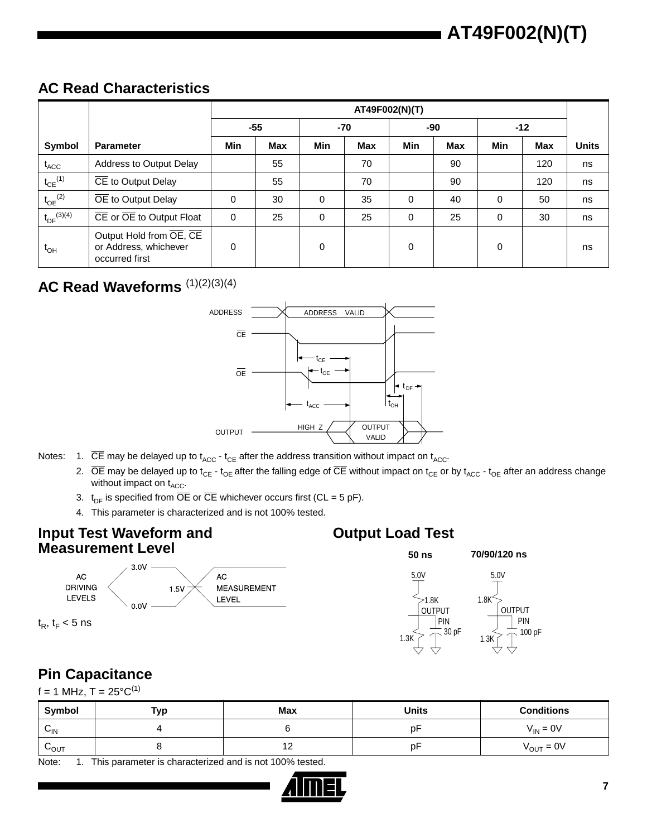#### **AC Read Characteristics**

|                             |                                                                    |            | AT49F002(N)(T) |          |            |          |            |       |            |              |
|-----------------------------|--------------------------------------------------------------------|------------|----------------|----------|------------|----------|------------|-------|------------|--------------|
|                             |                                                                    |            | $-55$          | -70      |            | -90      |            | $-12$ |            |              |
| Symbol                      | <b>Parameter</b>                                                   | <b>Min</b> | <b>Max</b>     | Min      | <b>Max</b> | Min      | <b>Max</b> | Min   | <b>Max</b> | <b>Units</b> |
| $t_{\scriptsize\text{ACC}}$ | Address to Output Delay                                            |            | 55             |          | 70         |          | 90         |       | 120        | ns           |
| $t_{CE}$ <sup>(1)</sup>     | CE to Output Delay                                                 |            | 55             |          | 70         |          | 90         |       | 120        | ns           |
| $t_{OE}$ <sup>(2)</sup>     | OE to Output Delay                                                 | $\Omega$   | 30             | $\Omega$ | 35         | $\Omega$ | 40         | 0     | 50         | ns           |
| $t_{DF}^{(3)(4)}$           | CE or OE to Output Float                                           | $\Omega$   | 25             | 0        | 25         | $\Omega$ | 25         | 0     | 30         | ns           |
| $t_{OH}$                    | Output Hold from OE, CE<br>or Address, whichever<br>occurred first | 0          |                | $\Omega$ |            | $\Omega$ |            | 0     |            | ns           |

#### AC Read Waveforms  $(1)(2)(3)(4)$



- Notes: 1.  $\overline{CE}$  may be delayed up to  $t_{ACC}$   $t_{CE}$  after the address transition without impact on  $t_{ACC}$ .
	- 2.  $\overline{OE}$  may be delayed up to t<sub>CE</sub> t<sub>OE</sub> after the falling edge of  $\overline{CE}$  without impact on t<sub>CE</sub> or by t<sub>ACC</sub> t<sub>OE</sub> after an address change without impact on  $t_{ACC}$ .
	- 3.  $t_{DF}$  is specified from  $\overline{OE}$  or  $\overline{CE}$  whichever occurs first (CL = 5 pF).
	- 4. This parameter is characterized and is not 100% tested.

#### **Input Test Waveform and Measurement Level**



 $t_R$ ,  $t_F$  < 5 ns

#### **Output Load Test**



#### **Pin Capacitance**

 $f = 1$  MHz, T =  $25^{\circ}C^{(1)}$ 

| Symbol                     | Тур | <b>Max</b>               | <b>Units</b> | <b>Conditions</b>     |
|----------------------------|-----|--------------------------|--------------|-----------------------|
| $\mathsf{v}_{\mathsf{IN}}$ |     |                          | p۲           | $V_{IN} = 0V$         |
| $v_{\text{OUT}}$           |     | $\overline{A}$<br>$\sim$ | D٣           | $V_{\text{OUT}} = 0V$ |

Note: 1. This parameter is characterized and is not 100% tested.

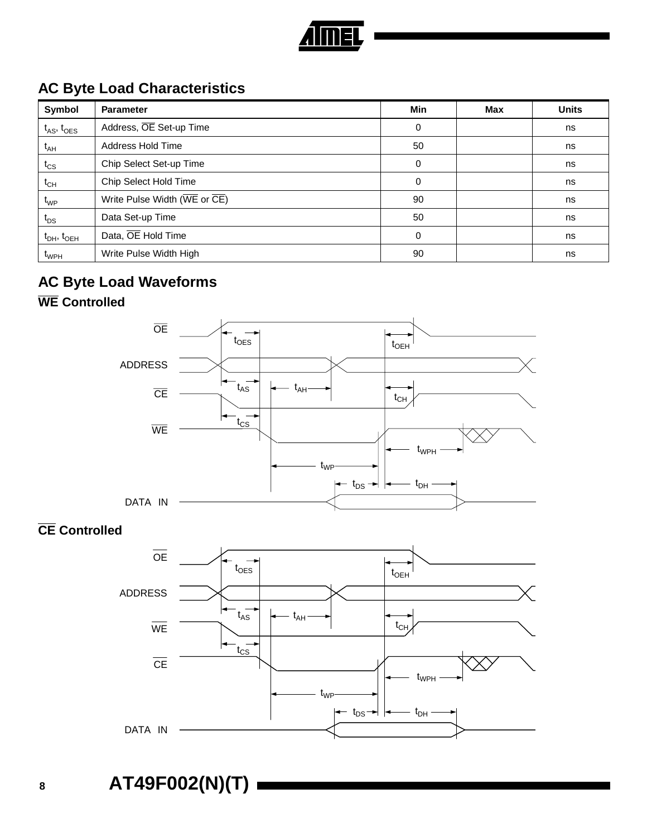

#### **AC Byte Load Characteristics**

| Symbol               | <b>Parameter</b>                                                       | Min | Max | <b>Units</b> |
|----------------------|------------------------------------------------------------------------|-----|-----|--------------|
| $t_{AS}$ , $t_{OES}$ | Address, OE Set-up Time                                                | 0   |     | ns           |
| $t_{AH}$             | Address Hold Time                                                      | 50  |     | ns           |
| $t_{CS}$             | Chip Select Set-up Time                                                | 0   |     | ns           |
| $t_{CH}$             | Chip Select Hold Time                                                  | 0   |     | ns           |
| $t_{WP}$             | Write Pulse Width ( $\overline{\text{WE}}$ or $\overline{\text{CE}}$ ) | 90  |     | ns           |
| $t_{DS}$             | Data Set-up Time                                                       | 50  |     | ns           |
| $t_{DH}$ , $t_{OEH}$ | Data, OE Hold Time                                                     | 0   |     | ns           |
| t <sub>WPH</sub>     | Write Pulse Width High                                                 | 90  |     | ns           |

## **AC Byte Load Waveforms**

## **WE Controlled**



#### **CE Controlled**

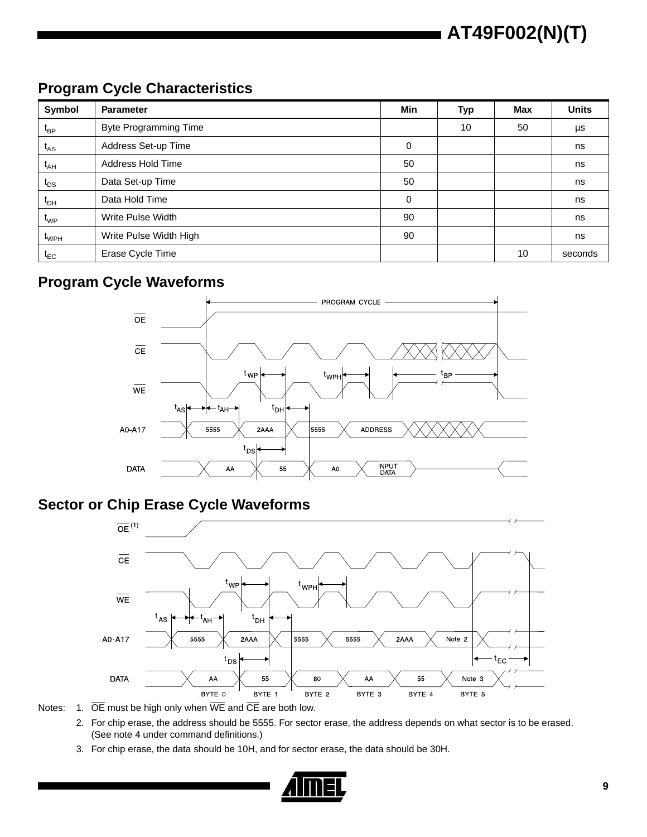# **AT49F002(N)(T)**

#### **Program Cycle Characteristics**

| Symbol                       | <b>Parameter</b>             | Min | <b>Typ</b> | <b>Max</b> | <b>Units</b> |
|------------------------------|------------------------------|-----|------------|------------|--------------|
| $t_{BP}$                     | <b>Byte Programming Time</b> |     | 10         | 50         | μs           |
| $t_{AS}$                     | Address Set-up Time          | 0   |            |            | ns           |
| $t_{AH}$                     | Address Hold Time            | 50  |            |            | ns           |
| $t_{DS}$                     | Data Set-up Time             | 50  |            |            | ns           |
| $t_{DH}$                     | Data Hold Time               | 0   |            |            | ns           |
| $\mathfrak{t}_{\mathsf{WP}}$ | Write Pulse Width            | 90  |            |            | ns           |
| $t_{WPH}$                    | Write Pulse Width High       | 90  |            |            | ns           |
| $t_{EC}$                     | Erase Cycle Time             |     |            | 10         | seconds      |

#### **Program Cycle Waveforms**



#### **Sector or Chip Erase Cycle Waveforms**

![](_page_8_Figure_6.jpeg)

Notes: 1.  $\overline{OE}$  must be high only when  $\overline{WE}$  and  $\overline{CE}$  are both low.

- 2. For chip erase, the address should be 5555. For sector erase, the address depends on what sector is to be erased. (See note 4 under command definitions.)
- 3. For chip erase, the data should be 10H, and for sector erase, the data should be 30H.

![](_page_8_Picture_10.jpeg)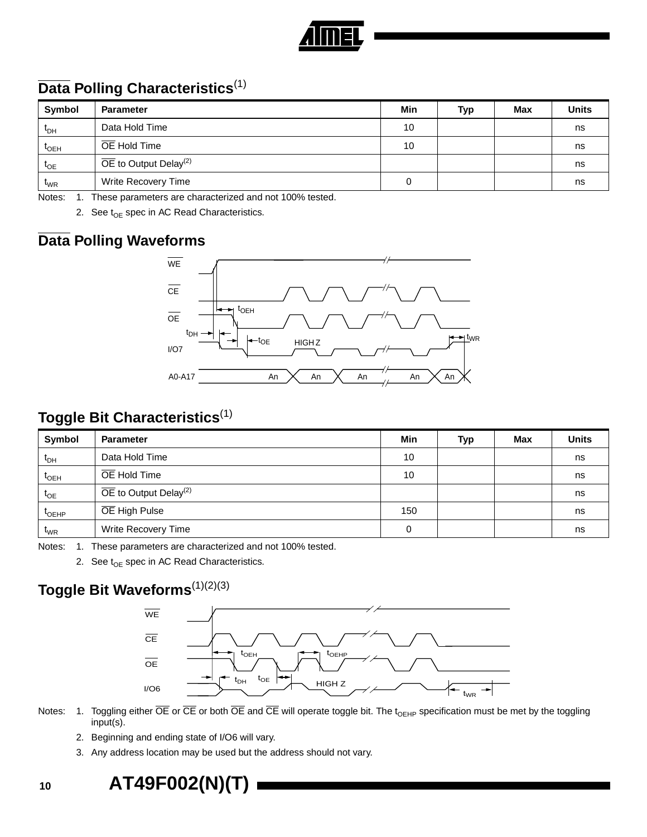![](_page_9_Picture_0.jpeg)

#### **Data Polling Characteristics**(1)

| Symbol                       | <b>Parameter</b>                               | Min | Typ | Max | <b>Units</b> |
|------------------------------|------------------------------------------------|-----|-----|-----|--------------|
| $\mathfrak{r}_{\mathsf{DH}}$ | Data Hold Time                                 | 10  |     |     | ns           |
| $I_{OEH}$                    | OE Hold Time                                   | 10  |     |     | ns           |
| $I_{OE}$                     | $\overline{OE}$ to Output Delay <sup>(2)</sup> |     |     |     | ns           |
| $\mathfrak{r}_{\text{WR}}$   | Write Recovery Time                            |     |     |     | ns           |

Notes: 1. These parameters are characterized and not 100% tested.

2. See  $t_{OE}$  spec in AC Read Characteristics.

#### **Data Polling Waveforms**

![](_page_9_Figure_6.jpeg)

#### **Toggle Bit Characteristics**(1)

| Symbol                       | <b>Parameter</b>                               |     | Typ | <b>Max</b> | <b>Units</b> |
|------------------------------|------------------------------------------------|-----|-----|------------|--------------|
| $\mathfrak{r}_{\mathsf{DH}}$ | Data Hold Time                                 |     |     |            | ns           |
| $t_{\text{OEH}}$             | OE Hold Time                                   | 10  |     |            | ns           |
| $t_{OE}$                     | $\overline{OE}$ to Output Delay <sup>(2)</sup> |     |     |            | ns           |
| $I_{OEHP}$                   | OE High Pulse                                  | 150 |     |            | ns           |
| $t_{WR}$                     | Write Recovery Time                            | 0   |     |            | ns           |

Notes: 1. These parameters are characterized and not 100% tested.

2. See  $t_{OE}$  spec in AC Read Characteristics.

## **Toggle Bit Waveforms**(1)(2)(3)

![](_page_9_Figure_12.jpeg)

- Notes: 1. Toggling either  $\overline{OE}$  or  $\overline{CE}$  or both  $\overline{OE}$  and  $\overline{CE}$  will operate toggle bit. The t<sub>OEHP</sub> specification must be met by the toggling input(s).
	- 2. Beginning and ending state of I/O6 will vary.
	- 3. Any address location may be used but the address should not vary.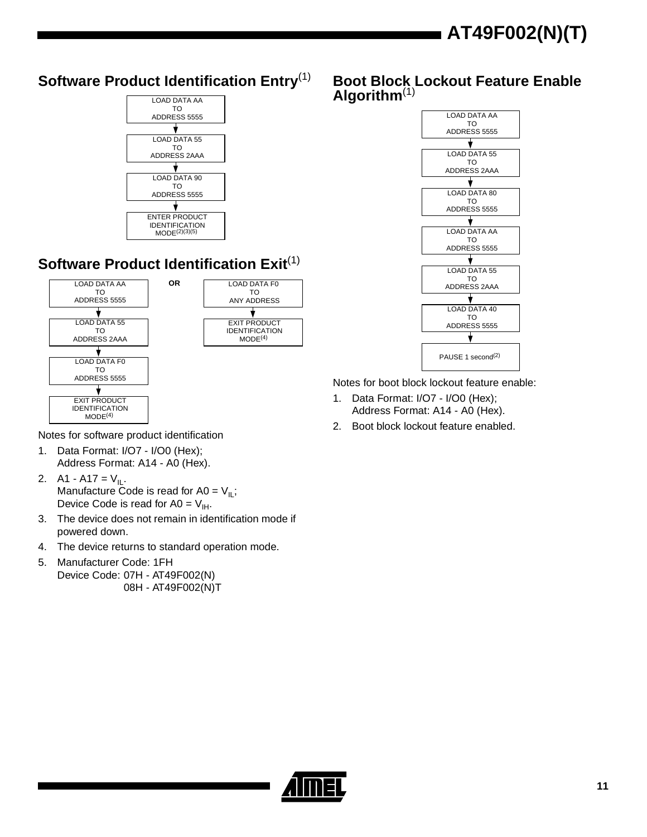![](_page_10_Figure_1.jpeg)

IDENTIFICATION<br>MODE<sup>(4)</sup>

#### **Boot Block Lockout Feature Enable Algorithm**(1)

![](_page_10_Figure_3.jpeg)

Notes for boot block lockout feature enable:

- 1. Data Format: I/O7 I/O0 (Hex); Address Format: A14 - A0 (Hex).
- 2. Boot block lockout feature enabled.

Notes for software product identification

1. Data Format: I/O7 - I/O0 (Hex); Address Format: A14 - A0 (Hex).

TO ADDRESS 2AAA

LOAD DATA F0 TO ADDRESS 5555

EXIT PRODUCT IDENTIFICATION  $MODE<sup>(4)</sup>$ 

2. A1 - A17 =  $V_{IL}$ . Manufacture Code is read for A0 =  $V_{II}$ ; Device Code is read for A0 =  $V_{\text{H}}$ .

- 3. The device does not remain in identification mode if powered down.
- 4. The device returns to standard operation mode.
- 5. Manufacturer Code: 1FH Device Code: 07H - AT49F002(N) 08H - AT49F002(N)T

![](_page_10_Picture_13.jpeg)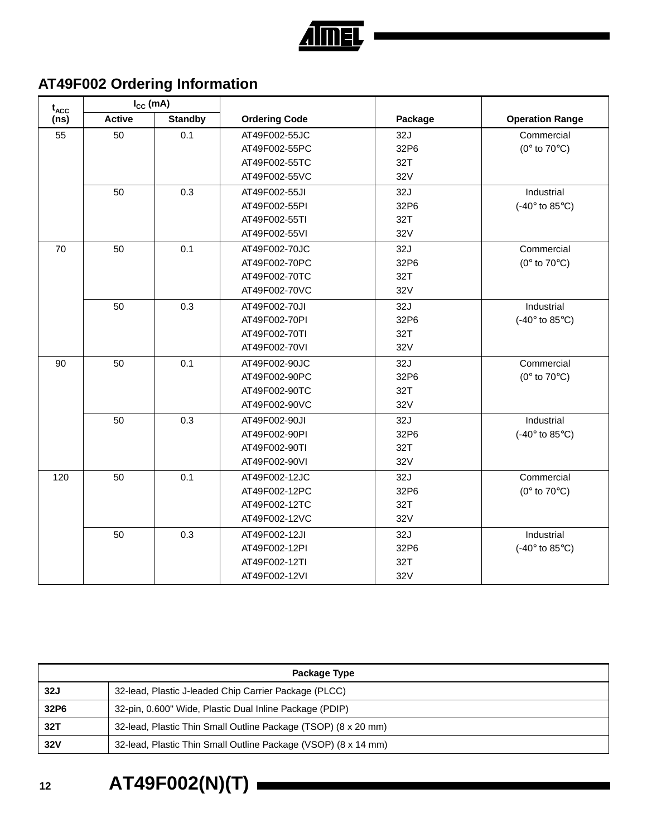![](_page_11_Picture_0.jpeg)

## **AT49F002 Ordering Information**

| $t_{\text{ACC}}$ | $I_{CC}$ (mA) |                |                      |         |                                             |
|------------------|---------------|----------------|----------------------|---------|---------------------------------------------|
| (ns)             | <b>Active</b> | <b>Standby</b> | <b>Ordering Code</b> | Package | <b>Operation Range</b>                      |
| 55               | 50            | 0.1            | AT49F002-55JC        | 32J     | Commercial                                  |
|                  |               |                | AT49F002-55PC        | 32P6    | ( $0^\circ$ to $70^\circ$ C)                |
|                  |               |                | AT49F002-55TC        | 32T     |                                             |
|                  |               |                | AT49F002-55VC        | 32V     |                                             |
|                  | 50            | 0.3            | AT49F002-55JI        | 32J     | Industrial                                  |
|                  |               |                | AT49F002-55PI        | 32P6    | (-40 $\degree$ to 85 $\degree$ C)           |
|                  |               |                | AT49F002-55TI        | 32T     |                                             |
|                  |               |                | AT49F002-55VI        | 32V     |                                             |
| 70               | 50            | 0.1            | AT49F002-70JC        | 32J     | Commercial                                  |
|                  |               |                | AT49F002-70PC        | 32P6    | ( $0^\circ$ to $70^\circ$ C)                |
|                  |               |                | AT49F002-70TC        | 32T     |                                             |
|                  |               |                | AT49F002-70VC        | 32V     |                                             |
|                  | 50            | 0.3            | AT49F002-70JI        | 32J     | Industrial                                  |
|                  |               |                | AT49F002-70PI        | 32P6    | $(-40^\circ \text{ to } 85^\circ \text{C})$ |
|                  |               |                | AT49F002-70TI        | 32T     |                                             |
|                  |               |                | AT49F002-70VI        | 32V     |                                             |
| 90               | 50            | 0.1            | AT49F002-90JC        | 32J     | Commercial                                  |
|                  |               |                | AT49F002-90PC        | 32P6    | ( $0^\circ$ to $70^\circ$ C)                |
|                  |               |                | AT49F002-90TC        | 32T     |                                             |
|                  |               |                | AT49F002-90VC        | 32V     |                                             |
|                  | 50            | 0.3            | AT49F002-90JI        | 32J     | Industrial                                  |
|                  |               |                | AT49F002-90PI        | 32P6    | (-40 $\degree$ to 85 $\degree$ C)           |
|                  |               |                | AT49F002-90TI        | 32T     |                                             |
|                  |               |                | AT49F002-90VI        | 32V     |                                             |
| 120              | 50            | 0.1            | AT49F002-12JC        | 32J     | Commercial                                  |
|                  |               |                | AT49F002-12PC        | 32P6    | ( $0^\circ$ to $70^\circ$ C)                |
|                  |               |                | AT49F002-12TC        | 32T     |                                             |
|                  |               |                | AT49F002-12VC        | 32V     |                                             |
|                  | 50            | 0.3            | AT49F002-12JI        | 32J     | Industrial                                  |
|                  |               |                | AT49F002-12PI        | 32P6    | (-40 $\degree$ to 85 $\degree$ C)           |
|                  |               |                | AT49F002-12TI        | 32T     |                                             |
|                  |               |                | AT49F002-12VI        | 32V     |                                             |

|                  | Package Type                                                   |  |  |  |  |
|------------------|----------------------------------------------------------------|--|--|--|--|
| 32J              | 32-lead, Plastic J-leaded Chip Carrier Package (PLCC)          |  |  |  |  |
| 32P <sub>6</sub> | 32-pin, 0.600" Wide, Plastic Dual Inline Package (PDIP)        |  |  |  |  |
| 32T              | 32-lead, Plastic Thin Small Outline Package (TSOP) (8 x 20 mm) |  |  |  |  |
| 32V              | 32-lead, Plastic Thin Small Outline Package (VSOP) (8 x 14 mm) |  |  |  |  |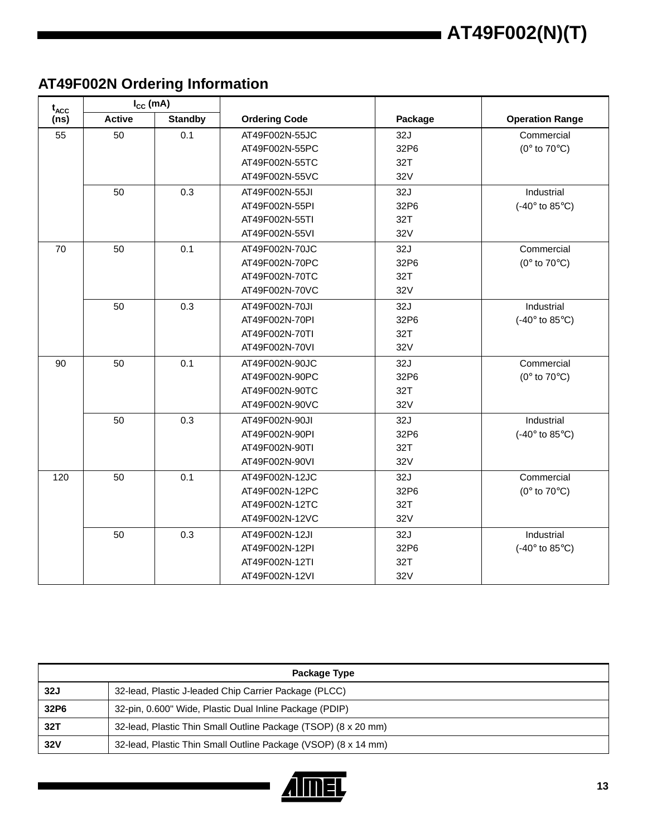## **AT49F002N Ordering Information**

| $t_{ACC}$ | $I_{CC}$ (mA) |                |                      |         |                                   |
|-----------|---------------|----------------|----------------------|---------|-----------------------------------|
| (ns)      | <b>Active</b> | <b>Standby</b> | <b>Ordering Code</b> | Package | <b>Operation Range</b>            |
| 55        | 50            | 0.1            | AT49F002N-55JC       | 32J     | Commercial                        |
|           |               |                | AT49F002N-55PC       | 32P6    | ( $0^\circ$ to $70^\circ$ C)      |
|           |               |                | AT49F002N-55TC       | 32T     |                                   |
|           |               |                | AT49F002N-55VC       | 32V     |                                   |
|           | 50            | 0.3            | AT49F002N-55JI       | 32J     | Industrial                        |
|           |               |                | AT49F002N-55PI       | 32P6    | (-40 $\degree$ to 85 $\degree$ C) |
|           |               |                | AT49F002N-55TI       | 32T     |                                   |
|           |               |                | AT49F002N-55VI       | 32V     |                                   |
| 70        | 50            | 0.1            | AT49F002N-70JC       | 32J     | Commercial                        |
|           |               |                | AT49F002N-70PC       | 32P6    | ( $0^\circ$ to $70^\circ$ C)      |
|           |               |                | AT49F002N-70TC       | 32T     |                                   |
|           |               |                | AT49F002N-70VC       | 32V     |                                   |
|           | 50            | 0.3            | AT49F002N-70JI       | 32J     | Industrial                        |
|           |               |                | AT49F002N-70PI       | 32P6    | (-40 $\degree$ to 85 $\degree$ C) |
|           |               |                | AT49F002N-70TI       | 32T     |                                   |
|           |               |                | AT49F002N-70VI       | 32V     |                                   |
| 90        | 50            | 0.1            | AT49F002N-90JC       | 32J     | Commercial                        |
|           |               |                | AT49F002N-90PC       | 32P6    | ( $0^\circ$ to $70^\circ$ C)      |
|           |               |                | AT49F002N-90TC       | 32T     |                                   |
|           |               |                | AT49F002N-90VC       | 32V     |                                   |
|           | 50            | 0.3            | AT49F002N-90JI       | 32J     | Industrial                        |
|           |               |                | AT49F002N-90PI       | 32P6    | (-40 $\degree$ to 85 $\degree$ C) |
|           |               |                | AT49F002N-90TI       | 32T     |                                   |
|           |               |                | AT49F002N-90VI       | 32V     |                                   |
| 120       | 50            | 0.1            | AT49F002N-12JC       | 32J     | Commercial                        |
|           |               |                | AT49F002N-12PC       | 32P6    | ( $0^\circ$ to $70^\circ$ C)      |
|           |               |                | AT49F002N-12TC       | 32T     |                                   |
|           |               |                | AT49F002N-12VC       | 32V     |                                   |
|           | 50            | 0.3            | AT49F002N-12JI       | 32J     | Industrial                        |
|           |               |                | AT49F002N-12PI       | 32P6    | (-40 $\degree$ to 85 $\degree$ C) |
|           |               |                | AT49F002N-12TI       | 32T     |                                   |
|           |               |                | AT49F002N-12VI       | 32V     |                                   |

|            | Package Type                                                   |  |  |  |  |
|------------|----------------------------------------------------------------|--|--|--|--|
| 32J        | 32-lead, Plastic J-leaded Chip Carrier Package (PLCC)          |  |  |  |  |
| 32P6       | 32-pin, 0.600" Wide, Plastic Dual Inline Package (PDIP)        |  |  |  |  |
| 32T        | 32-lead, Plastic Thin Small Outline Package (TSOP) (8 x 20 mm) |  |  |  |  |
| <b>32V</b> | 32-lead, Plastic Thin Small Outline Package (VSOP) (8 x 14 mm) |  |  |  |  |

![](_page_12_Picture_4.jpeg)

П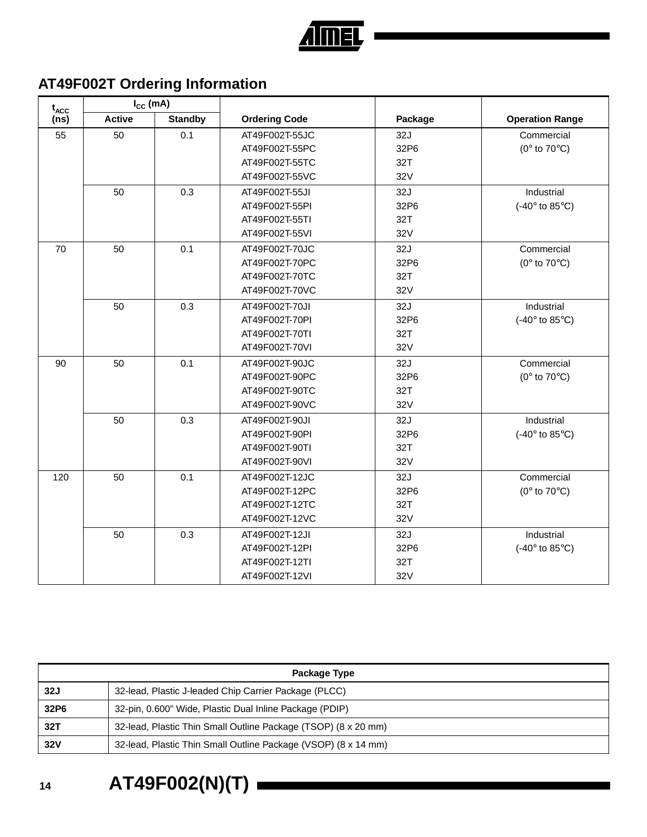![](_page_13_Picture_0.jpeg)

## **AT49F002T Ordering Information**

| $t_{ACC}$         | $I_{CC}$ (mA) |                |                      |         |                                             |
|-------------------|---------------|----------------|----------------------|---------|---------------------------------------------|
| (n <sub>s</sub> ) | <b>Active</b> | <b>Standby</b> | <b>Ordering Code</b> | Package | <b>Operation Range</b>                      |
| 55                | 50            | 0.1            | AT49F002T-55JC       | 32J     | Commercial                                  |
|                   |               |                | AT49F002T-55PC       | 32P6    | ( $0^\circ$ to $70^\circ$ C)                |
|                   |               |                | AT49F002T-55TC       | 32T     |                                             |
|                   |               |                | AT49F002T-55VC       | 32V     |                                             |
|                   | 50            | 0.3            | AT49F002T-55JI       | 32J     | Industrial                                  |
|                   |               |                | AT49F002T-55PI       | 32P6    | (-40 $\degree$ to 85 $\degree$ C)           |
|                   |               |                | AT49F002T-55TI       | 32T     |                                             |
|                   |               |                | AT49F002T-55VI       | 32V     |                                             |
| 70                | 50            | 0.1            | AT49F002T-70JC       | 32J     | Commercial                                  |
|                   |               |                | AT49F002T-70PC       | 32P6    | ( $0^\circ$ to $70^\circ$ C)                |
|                   |               |                | AT49F002T-70TC       | 32T     |                                             |
|                   |               |                | AT49F002T-70VC       | 32V     |                                             |
|                   | 50            | 0.3            | AT49F002T-70JI       | 32J     | Industrial                                  |
|                   |               |                | AT49F002T-70PI       | 32P6    | (-40 $\degree$ to 85 $\degree$ C)           |
|                   |               |                | AT49F002T-70TI       | 32T     |                                             |
|                   |               |                | AT49F002T-70VI       | 32V     |                                             |
| 90                | 50            | 0.1            | AT49F002T-90JC       | 32J     | Commercial                                  |
|                   |               |                | AT49F002T-90PC       | 32P6    | ( $0^\circ$ to $70^\circ$ C)                |
|                   |               |                | AT49F002T-90TC       | 32T     |                                             |
|                   |               |                | AT49F002T-90VC       | 32V     |                                             |
|                   | 50            | 0.3            | AT49F002T-90JI       | 32J     | Industrial                                  |
|                   |               |                | AT49F002T-90PI       | 32P6    | $(-40^\circ \text{ to } 85^\circ \text{C})$ |
|                   |               |                | AT49F002T-90TI       | 32T     |                                             |
|                   |               |                | AT49F002T-90VI       | 32V     |                                             |
| 120               | 50            | 0.1            | AT49F002T-12JC       | 32J     | Commercial                                  |
|                   |               |                | AT49F002T-12PC       | 32P6    | ( $0^\circ$ to $70^\circ$ C)                |
|                   |               |                | AT49F002T-12TC       | 32T     |                                             |
|                   |               |                | AT49F002T-12VC       | 32V     |                                             |
|                   | 50            | 0.3            | AT49F002T-12JI       | 32J     | Industrial                                  |
|                   |               |                | AT49F002T-12PI       | 32P6    | (-40 $\degree$ to 85 $\degree$ C)           |
|                   |               |                | AT49F002T-12TI       | 32T     |                                             |
|                   |               |                | AT49F002T-12VI       | 32V     |                                             |

|                  | Package Type                                                   |  |  |  |  |
|------------------|----------------------------------------------------------------|--|--|--|--|
| 32J              | 32-lead, Plastic J-leaded Chip Carrier Package (PLCC)          |  |  |  |  |
| 32P <sub>6</sub> | 32-pin, 0.600" Wide, Plastic Dual Inline Package (PDIP)        |  |  |  |  |
| 32T              | 32-lead, Plastic Thin Small Outline Package (TSOP) (8 x 20 mm) |  |  |  |  |
| 32V              | 32-lead, Plastic Thin Small Outline Package (VSOP) (8 x 14 mm) |  |  |  |  |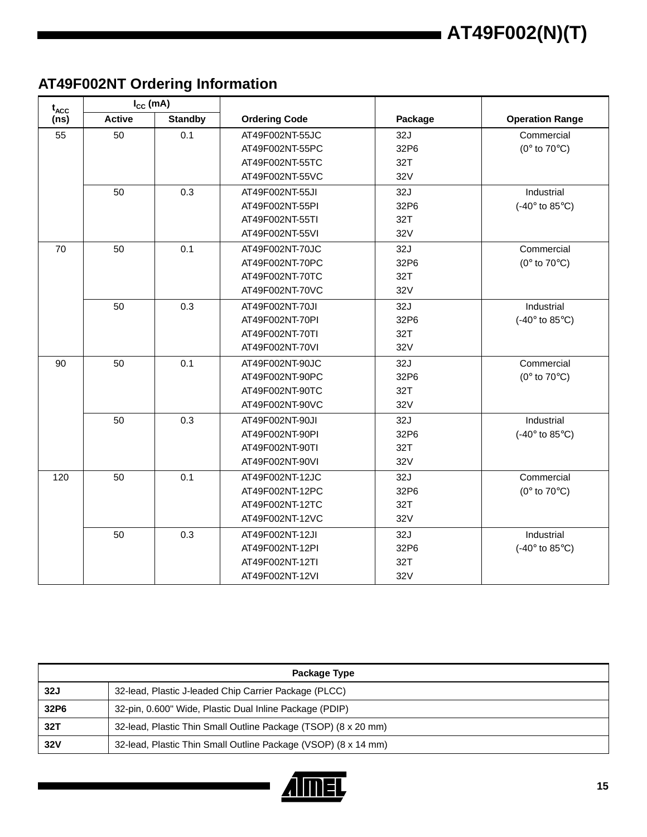## **AT49F002NT Ordering Information**

| $t_{ACC}$ | $I_{CC}$ (mA) |                |                      |         |                                   |
|-----------|---------------|----------------|----------------------|---------|-----------------------------------|
| (ns)      | <b>Active</b> | <b>Standby</b> | <b>Ordering Code</b> | Package | <b>Operation Range</b>            |
| 55        | 50            | 0.1            | AT49F002NT-55JC      | 32J     | Commercial                        |
|           |               |                | AT49F002NT-55PC      | 32P6    | ( $0^\circ$ to $70^\circ$ C)      |
|           |               |                | AT49F002NT-55TC      | 32T     |                                   |
|           |               |                | AT49F002NT-55VC      | 32V     |                                   |
|           | 50            | 0.3            | AT49F002NT-55JI      | 32J     | Industrial                        |
|           |               |                | AT49F002NT-55PI      | 32P6    | (-40 $\degree$ to 85 $\degree$ C) |
|           |               |                | AT49F002NT-55TI      | 32T     |                                   |
|           |               |                | AT49F002NT-55VI      | 32V     |                                   |
| 70        | 50            | 0.1            | AT49F002NT-70JC      | 32J     | Commercial                        |
|           |               |                | AT49F002NT-70PC      | 32P6    | ( $0^\circ$ to $70^\circ$ C)      |
|           |               |                | AT49F002NT-70TC      | 32T     |                                   |
|           |               |                | AT49F002NT-70VC      | 32V     |                                   |
|           | 50            | 0.3            | AT49F002NT-70JI      | 32J     | Industrial                        |
|           |               |                | AT49F002NT-70PI      | 32P6    | (-40 $\degree$ to 85 $\degree$ C) |
|           |               |                | AT49F002NT-70TI      | 32T     |                                   |
|           |               |                | AT49F002NT-70VI      | 32V     |                                   |
| 90        | 50            | 0.1            | AT49F002NT-90JC      | 32J     | Commercial                        |
|           |               |                | AT49F002NT-90PC      | 32P6    | ( $0^\circ$ to $70^\circ$ C)      |
|           |               |                | AT49F002NT-90TC      | 32T     |                                   |
|           |               |                | AT49F002NT-90VC      | 32V     |                                   |
|           | 50            | 0.3            | AT49F002NT-90JI      | 32J     | Industrial                        |
|           |               |                | AT49F002NT-90PI      | 32P6    | (-40 $\degree$ to 85 $\degree$ C) |
|           |               |                | AT49F002NT-90TI      | 32T     |                                   |
|           |               |                | AT49F002NT-90VI      | 32V     |                                   |
| 120       | 50            | 0.1            | AT49F002NT-12JC      | 32J     | Commercial                        |
|           |               |                | AT49F002NT-12PC      | 32P6    | ( $0^\circ$ to $70^\circ$ C)      |
|           |               |                | AT49F002NT-12TC      | 32T     |                                   |
|           |               |                | AT49F002NT-12VC      | 32V     |                                   |
|           | 50            | 0.3            | AT49F002NT-12JI      | 32J     | Industrial                        |
|           |               |                | AT49F002NT-12PI      | 32P6    | (-40 $\degree$ to 85 $\degree$ C) |
|           |               |                | AT49F002NT-12TI      | 32T     |                                   |
|           |               |                | AT49F002NT-12VI      | 32V     |                                   |

| Package Type |                                                                |  |  |  |
|--------------|----------------------------------------------------------------|--|--|--|
| 32J          | 32-lead, Plastic J-leaded Chip Carrier Package (PLCC)          |  |  |  |
| 32P6         | 32-pin, 0.600" Wide, Plastic Dual Inline Package (PDIP)        |  |  |  |
| 32T          | 32-lead, Plastic Thin Small Outline Package (TSOP) (8 x 20 mm) |  |  |  |
| <b>32V</b>   | 32-lead, Plastic Thin Small Outline Package (VSOP) (8 x 14 mm) |  |  |  |

![](_page_14_Picture_4.jpeg)

П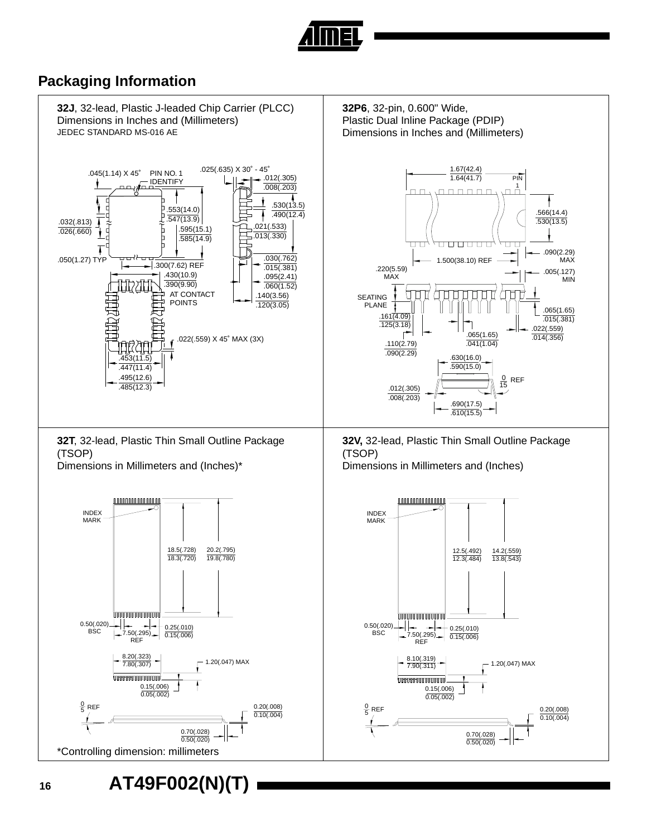![](_page_15_Picture_0.jpeg)

#### **Packaging Information**

![](_page_15_Figure_2.jpeg)